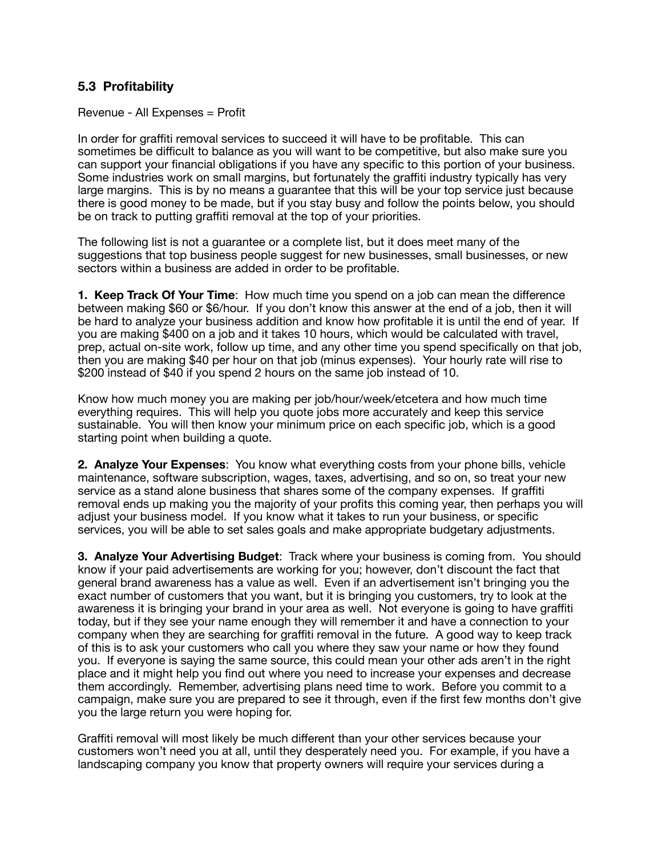## **5.3 Profitability**

Revenue - All Expenses = Profit

In order for graffiti removal services to succeed it will have to be profitable. This can sometimes be difficult to balance as you will want to be competitive, but also make sure you can support your financial obligations if you have any specific to this portion of your business. Some industries work on small margins, but fortunately the graffiti industry typically has very large margins. This is by no means a guarantee that this will be your top service just because there is good money to be made, but if you stay busy and follow the points below, you should be on track to putting graffiti removal at the top of your priorities.

The following list is not a guarantee or a complete list, but it does meet many of the suggestions that top business people suggest for new businesses, small businesses, or new sectors within a business are added in order to be profitable.

**1. Keep Track Of Your Time**: How much time you spend on a job can mean the difference between making \$60 or \$6/hour. If you don't know this answer at the end of a job, then it will be hard to analyze your business addition and know how profitable it is until the end of year. If you are making \$400 on a job and it takes 10 hours, which would be calculated with travel, prep, actual on-site work, follow up time, and any other time you spend specifically on that job, then you are making \$40 per hour on that job (minus expenses). Your hourly rate will rise to \$200 instead of \$40 if you spend 2 hours on the same job instead of 10.

Know how much money you are making per job/hour/week/etcetera and how much time everything requires. This will help you quote jobs more accurately and keep this service sustainable. You will then know your minimum price on each specific job, which is a good starting point when building a quote.

**2. Analyze Your Expenses**: You know what everything costs from your phone bills, vehicle maintenance, software subscription, wages, taxes, advertising, and so on, so treat your new service as a stand alone business that shares some of the company expenses. If graffiti removal ends up making you the majority of your profits this coming year, then perhaps you will adjust your business model. If you know what it takes to run your business, or specific services, you will be able to set sales goals and make appropriate budgetary adjustments.

**3. Analyze Your Advertising Budget**: Track where your business is coming from. You should know if your paid advertisements are working for you; however, don't discount the fact that general brand awareness has a value as well. Even if an advertisement isn't bringing you the exact number of customers that you want, but it is bringing you customers, try to look at the awareness it is bringing your brand in your area as well. Not everyone is going to have graffiti today, but if they see your name enough they will remember it and have a connection to your company when they are searching for graffiti removal in the future. A good way to keep track of this is to ask your customers who call you where they saw your name or how they found you. If everyone is saying the same source, this could mean your other ads aren't in the right place and it might help you find out where you need to increase your expenses and decrease them accordingly. Remember, advertising plans need time to work. Before you commit to a campaign, make sure you are prepared to see it through, even if the first few months don't give you the large return you were hoping for.

Graffiti removal will most likely be much different than your other services because your customers won't need you at all, until they desperately need you. For example, if you have a landscaping company you know that property owners will require your services during a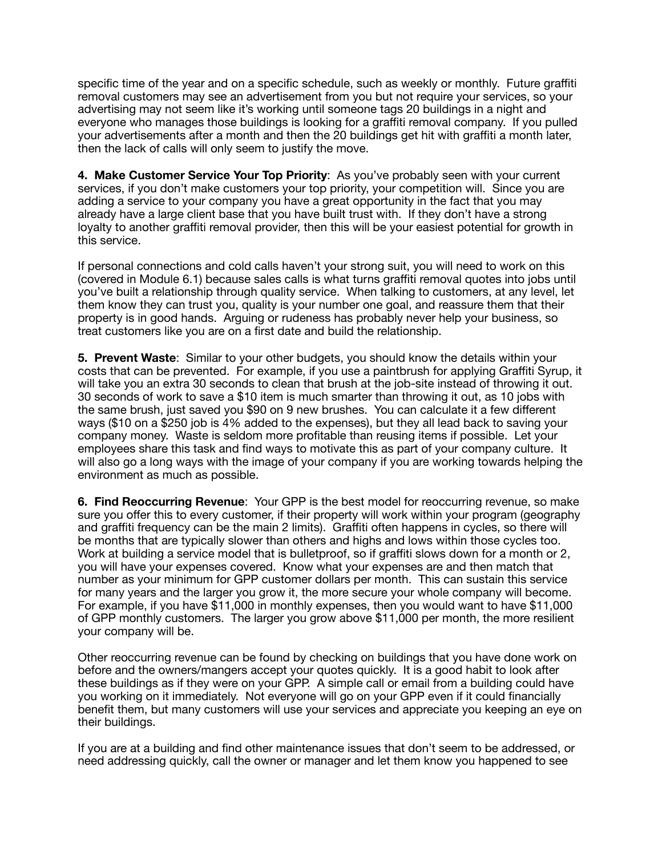specific time of the year and on a specific schedule, such as weekly or monthly. Future graffiti removal customers may see an advertisement from you but not require your services, so your advertising may not seem like it's working until someone tags 20 buildings in a night and everyone who manages those buildings is looking for a graffiti removal company. If you pulled your advertisements after a month and then the 20 buildings get hit with graffiti a month later, then the lack of calls will only seem to justify the move.

**4. Make Customer Service Your Top Priority**: As you've probably seen with your current services, if you don't make customers your top priority, your competition will. Since you are adding a service to your company you have a great opportunity in the fact that you may already have a large client base that you have built trust with. If they don't have a strong loyalty to another graffiti removal provider, then this will be your easiest potential for growth in this service.

If personal connections and cold calls haven't your strong suit, you will need to work on this (covered in Module 6.1) because sales calls is what turns graffiti removal quotes into jobs until you've built a relationship through quality service. When talking to customers, at any level, let them know they can trust you, quality is your number one goal, and reassure them that their property is in good hands. Arguing or rudeness has probably never help your business, so treat customers like you are on a first date and build the relationship.

**5. Prevent Waste**: Similar to your other budgets, you should know the details within your costs that can be prevented. For example, if you use a paintbrush for applying Graffiti Syrup, it will take you an extra 30 seconds to clean that brush at the job-site instead of throwing it out. 30 seconds of work to save a \$10 item is much smarter than throwing it out, as 10 jobs with the same brush, just saved you \$90 on 9 new brushes. You can calculate it a few different ways (\$10 on a \$250 job is 4% added to the expenses), but they all lead back to saving your company money. Waste is seldom more profitable than reusing items if possible. Let your employees share this task and find ways to motivate this as part of your company culture. It will also go a long ways with the image of your company if you are working towards helping the environment as much as possible.

**6. Find Reoccurring Revenue**: Your GPP is the best model for reoccurring revenue, so make sure you offer this to every customer, if their property will work within your program (geography and graffiti frequency can be the main 2 limits). Graffiti often happens in cycles, so there will be months that are typically slower than others and highs and lows within those cycles too. Work at building a service model that is bulletproof, so if graffiti slows down for a month or 2, you will have your expenses covered. Know what your expenses are and then match that number as your minimum for GPP customer dollars per month. This can sustain this service for many years and the larger you grow it, the more secure your whole company will become. For example, if you have \$11,000 in monthly expenses, then you would want to have \$11,000 of GPP monthly customers. The larger you grow above \$11,000 per month, the more resilient your company will be.

Other reoccurring revenue can be found by checking on buildings that you have done work on before and the owners/mangers accept your quotes quickly. It is a good habit to look after these buildings as if they were on your GPP. A simple call or email from a building could have you working on it immediately. Not everyone will go on your GPP even if it could financially benefit them, but many customers will use your services and appreciate you keeping an eye on their buildings.

If you are at a building and find other maintenance issues that don't seem to be addressed, or need addressing quickly, call the owner or manager and let them know you happened to see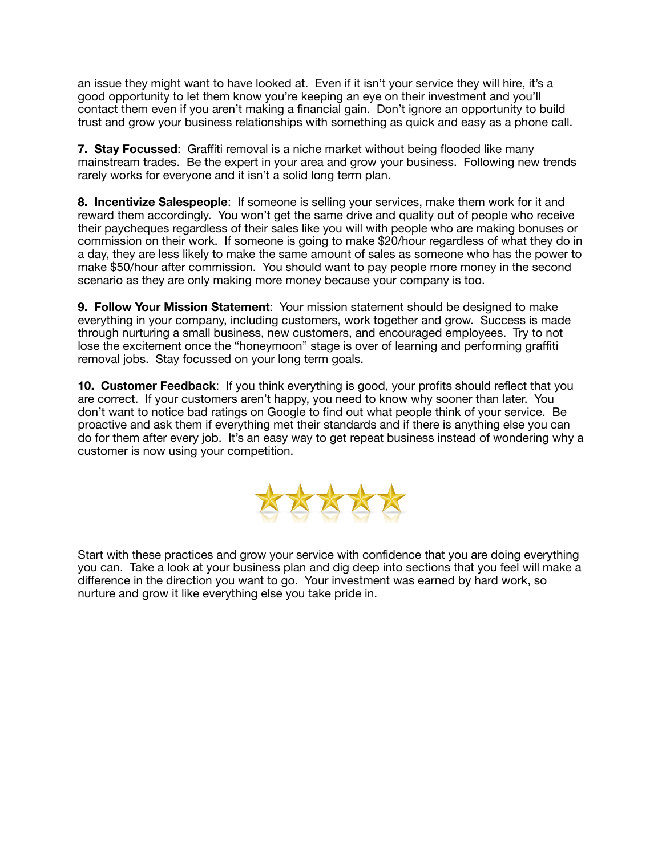an issue they might want to have looked at. Even if it isn't your service they will hire, it's a good opportunity to let them know you're keeping an eye on their investment and you'll contact them even if you aren't making a financial gain. Don't ignore an opportunity to build trust and grow your business relationships with something as quick and easy as a phone call.

**7. Stay Focussed**: Graffiti removal is a niche market without being flooded like many mainstream trades. Be the expert in your area and grow your business. Following new trends rarely works for everyone and it isn't a solid long term plan.

**8. Incentivize Salespeople**: If someone is selling your services, make them work for it and reward them accordingly. You won't get the same drive and quality out of people who receive their paycheques regardless of their sales like you will with people who are making bonuses or commission on their work. If someone is going to make \$20/hour regardless of what they do in a day, they are less likely to make the same amount of sales as someone who has the power to make \$50/hour after commission. You should want to pay people more money in the second scenario as they are only making more money because your company is too.

**9. Follow Your Mission Statement**: Your mission statement should be designed to make everything in your company, including customers, work together and grow. Success is made through nurturing a small business, new customers, and encouraged employees. Try to not lose the excitement once the "honeymoon" stage is over of learning and performing graffiti removal jobs. Stay focussed on your long term goals.

**10. Customer Feedback**: If you think everything is good, your profits should reflect that you are correct. If your customers aren't happy, you need to know why sooner than later. You don't want to notice bad ratings on Google to find out what people think of your service. Be proactive and ask them if everything met their standards and if there is anything else you can do for them after every job. It's an easy way to get repeat business instead of wondering why a customer is now using your competition.



Start with these practices and grow your service with confidence that you are doing everything you can. Take a look at your business plan and dig deep into sections that you feel will make a difference in the direction you want to go. Your investment was earned by hard work, so nurture and grow it like everything else you take pride in.